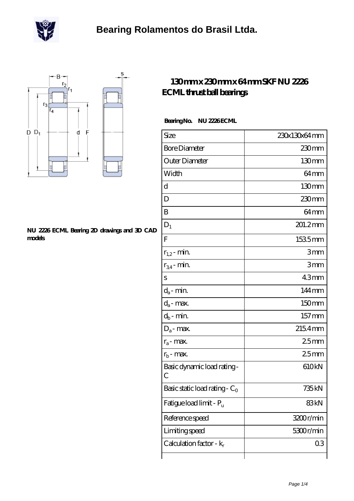



#### **[NU 2226 ECML Bearing 2D drawings and 3D CAD](https://m.scottrobertalexander.com/pic-539668.html) [models](https://m.scottrobertalexander.com/pic-539668.html)**

### **[130 mm x 230 mm x 64 mm SKF NU 2226](https://m.scottrobertalexander.com/skf-nu-2226-ecml-bearing/) [ECML thrust ball bearings](https://m.scottrobertalexander.com/skf-nu-2226-ecml-bearing/)**

### **Bearing No. NU 2226 ECML**

| Size                                | 230x130x64mm      |
|-------------------------------------|-------------------|
| <b>Bore Diameter</b>                | $230$ mm          |
| Outer Diameter                      | 130mm             |
| Width                               | 64mm              |
| d                                   | 130mm             |
| D                                   | $230$ mm          |
| B                                   | 64 <sub>mm</sub>  |
| $D_1$                               | 201.2mm           |
| $\overline{F}$                      | 1535mm            |
| $r_{1,2}$ - min.                    | 3mm               |
| $r_{34}$ - min.                     | 3mm               |
| S                                   | 43mm              |
| $d_a$ - min.                        | 144mm             |
| $d_a$ - max.                        | 150mm             |
| $d_b$ - min.                        | 157mm             |
| $D_a$ - max.                        | 2154mm            |
| $r_a$ - max.                        | 25mm              |
| $r_{b}$ - max.                      | 25mm              |
| Basic dynamic load rating-<br>С     | 610kN             |
| Basic static load rating - $C_0$    | 735 <sub>kN</sub> |
| Fatigue load limit - P <sub>u</sub> | 83kN              |
| Reference speed                     | 3200r/min         |
| Limiting speed                      | 5300r/min         |
| Calculation factor - $k_r$          | 03                |
|                                     |                   |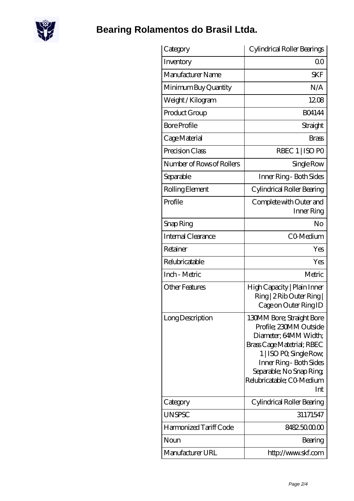

# **[Bearing Rolamentos do Brasil Ltda.](https://m.scottrobertalexander.com)**

| Category                  | Cylindrical Roller Bearings                                                                                                                                                                                                      |
|---------------------------|----------------------------------------------------------------------------------------------------------------------------------------------------------------------------------------------------------------------------------|
| Inventory                 | Q0                                                                                                                                                                                                                               |
| Manufacturer Name         | <b>SKF</b>                                                                                                                                                                                                                       |
| Minimum Buy Quantity      | N/A                                                                                                                                                                                                                              |
| Weight/Kilogram           | 1208                                                                                                                                                                                                                             |
| Product Group             | <b>BO4144</b>                                                                                                                                                                                                                    |
| <b>Bore Profile</b>       | Straight                                                                                                                                                                                                                         |
| Cage Material             | Brass                                                                                                                                                                                                                            |
| Precision Class           | RBEC 1   ISO PO                                                                                                                                                                                                                  |
| Number of Rows of Rollers | Single Row                                                                                                                                                                                                                       |
| Separable                 | Inner Ring - Both Sides                                                                                                                                                                                                          |
| Rolling Element           | Cylindrical Roller Bearing                                                                                                                                                                                                       |
| Profile                   | Complete with Outer and<br>Inner Ring                                                                                                                                                                                            |
| Snap Ring                 | No                                                                                                                                                                                                                               |
| Internal Clearance        | CO-Medium                                                                                                                                                                                                                        |
| Retainer                  | Yes                                                                                                                                                                                                                              |
| Relubricatable            | Yes                                                                                                                                                                                                                              |
| Inch - Metric             | Metric                                                                                                                                                                                                                           |
| <b>Other Features</b>     | High Capacity   Plain Inner<br>Ring   2 Rib Outer Ring  <br>Cage on Outer Ring ID                                                                                                                                                |
| Long Description          | 130MM Bore; Straight Bore<br>Profile; 230MM Outside<br>Diameter, 64MM Width;<br>Brass Cage Matetrial; RBEC<br>1   ISO PO, Single Row,<br>Inner Ring - Both Sides<br>Separable; No Snap Ring;<br>Relubricatable; CO Medium<br>Int |
| Category                  | Cylindrical Roller Bearing                                                                                                                                                                                                       |
| <b>UNSPSC</b>             | 31171547                                                                                                                                                                                                                         |
| Harmonized Tariff Code    | 8482.5000.00                                                                                                                                                                                                                     |
| Noun                      | Bearing                                                                                                                                                                                                                          |
| Manufacturer URL          | http://www.skf.com                                                                                                                                                                                                               |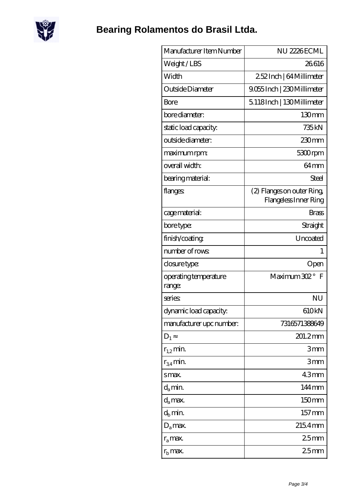

| Manufacturer Item Number        | NU 2226ECML                                        |
|---------------------------------|----------------------------------------------------|
| Weight/LBS                      | 26616                                              |
| Width                           | 252Inch   64 Millimeter                            |
| Outside Diameter                | 9.055 Inch   230 Millimeter                        |
| Bore                            | 5118Inch   130Millimeter                           |
| bore diameter:                  | 130mm                                              |
| static load capacity.           | 735 <sub>kN</sub>                                  |
| outside diameter:               | 230 <sub>mm</sub>                                  |
| maximum rpm:                    | 5300rpm                                            |
| overall width:                  | 64mm                                               |
| bearing material:               | Steel                                              |
| flanges                         | (2) Flanges on outer Ring<br>Flangeless Inner Ring |
| cage material:                  | <b>Brass</b>                                       |
| bore type:                      | Straight                                           |
| finish/coating                  | Uncoated                                           |
| number of rows                  | $\mathbf{1}$                                       |
| closure type:                   | Open                                               |
| operating temperature<br>range: | Maximum 302°<br>$\mathbf F$                        |
| series                          | ΝU                                                 |
| dynamic load capacity.          | 610kN                                              |
| manufacturer upc number.        | 7316571388649                                      |
| $D_1$                           | 201.2mm                                            |
| $r_{1,2}$ min.                  | 3mm                                                |
| $r_{34}$ min.                   | 3mm                                                |
| smax.                           | 43mm                                               |
| $d_a$ min.                      | 144mm                                              |
| $d_a$ max.                      | 150mm                                              |
| $d_h$ min.                      | $157 \,\mathrm{mm}$                                |
| $D_a$ max.                      | 2154mm                                             |
| $r_a$ max.                      | 25 <sub>mm</sub>                                   |
| $rb$ max.                       | 25mm                                               |